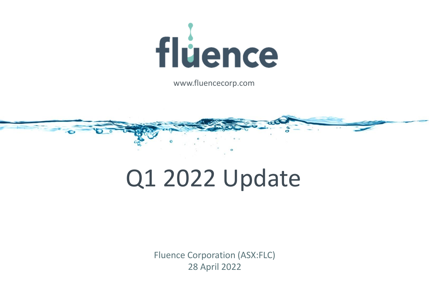

www.fluencecorp.com

# Q1 2022 Update

Fluence Corporation (ASX:FLC) 28 April 2022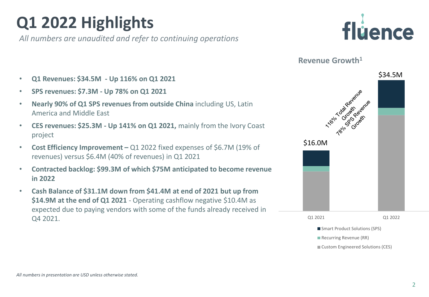# **Q1 2022 Highlights**

*All numbers are unaudited and refer to continuing operations*





- **Q1 Revenues: \$34.5M - Up 116% on Q1 2021**
- **SPS revenues: \$7.3M - Up 78% on Q1 2021**
- **Nearly 90% of Q1 SPS revenues from outside China** including US, Latin America and Middle East
- **CES revenues: \$25.3M - Up 141% on Q1 2021,** mainly from the Ivory Coast project
- **Cost Efficiency Improvement –** Q1 2022 fixed expenses of \$6.7M (19% of revenues) versus \$6.4M (40% of revenues) in Q1 2021
- **Contracted backlog: \$99.3M of which \$75M anticipated to become revenue in 2022**
- **Cash Balance of \$31.1M down from \$41.4M at end of 2021 but up from \$14.9M at the end of Q1 2021** - Operating cashflow negative \$10.4M as expected due to paying vendors with some of the funds already received in Q4 2021.

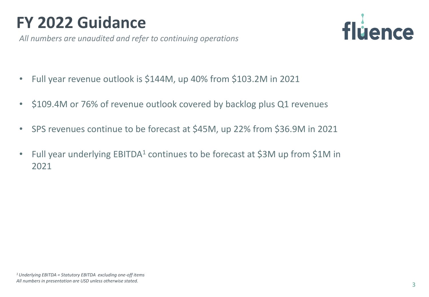# **FY 2022 Guidance**

*All numbers are unaudited and refer to continuing operations*



- Full year revenue outlook is \$144M, up 40% from \$103.2M in 2021
- \$109.4M or 76% of revenue outlook covered by backlog plus Q1 revenues
- SPS revenues continue to be forecast at \$45M, up 22% from \$36.9M in 2021
- Full year underlying  $EBITDA<sup>1</sup>$  continues to be forecast at \$3M up from \$1M in 2021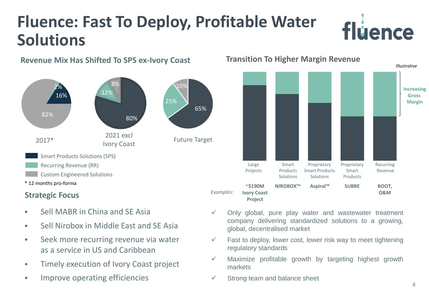## **Fluence: Fast To Deploy, Profitable Water Solutions**



#### **Strategic Focus**

- **EXECUTE:** Sell MABR in China and SF Asia
- **Sell Nirobox in Middle Fast and SF Asia**
- Seek more recurring revenue via water as a service in US and Caribbean
- **Timely execution of Ivory Coast project**
- **•** Improve operating efficiencies



fluence

**Transition To Higher Margin Revenue**

- $\checkmark$  Only global, pure play water and wastewater treatment company delivering standardized solutions to a growing, global, decentralised market
- $\checkmark$  Fast to deploy, lower cost, lower risk way to meet tightening regulatory standards
- ✓ Maximize profitable growth by targeting highest growth markets
- ✓ Strong team and balance sheet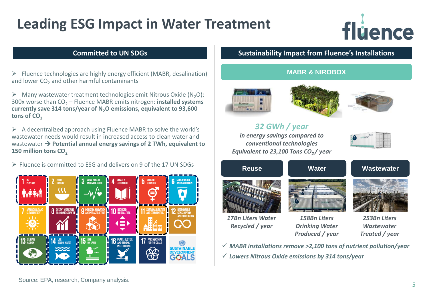### **Leading ESG Impact in Water Treatment**



#### **Committed to UN SDGs**

➢ Fluence technologies are highly energy efficient (MABR, desalination) and lower  $\textsf{CO}_2$  and other harmful contaminants

 $\triangleright$  Many wastewater treatment technologies emit Nitrous Oxide (N<sub>2</sub>O): 300x worse than CO<sub>2</sub> – Fluence MABR emits nitrogen: **installed systems currently save 314 tons/year of N2O emissions, equivalent to 93,600**  tons of CO<sub>2</sub>

➢ A decentralized approach using Fluence MABR to solve the world's wastewater needs would result in increased access to clean water and wastewater → **Potential annual energy savings of 2 TWh, equivalent to 150 million tons CO<sup>2</sup>**

 $\triangleright$  Fluence is committed to ESG and delivers on 9 of the 17 UN SDGs



#### **Sustainability Impact from Fluence's Installations**

#### **MABR & NIROBOX**







#### *32 GWh / year*

*in energy savings compared to conventional technologies Equivalent to 23,100 Tons CO<sub>2</sub>/ year* 





*Recycled / year*

*Drinking Water Produced / year*

*Wastewater Treated / year*

✓ *MABR installations remove >2,100 tons of nutrient pollution/year*

✓ *Lowers Nitrous Oxide emissions by 314 tons/year*

#### Source: EPA, research, Company analysis.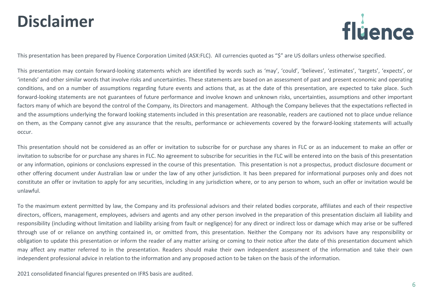### **Disclaimer**



This presentation has been prepared by Fluence Corporation Limited (ASX:FLC). All currencies quoted as "\$" are US dollars unless otherwise specified.

This presentation may contain forward-looking statements which are identified by words such as 'may', 'could', 'believes', 'estimates', 'targets', 'expects', or 'intends' and other similar words that involve risks and uncertainties. These statements are based on an assessment of past and present economic and operating conditions, and on a number of assumptions regarding future events and actions that, as at the date of this presentation, are expected to take place. Such forward-looking statements are not guarantees of future performance and involve known and unknown risks, uncertainties, assumptions and other important factors many of which are beyond the control of the Company, its Directors and management. Although the Company believes that the expectations reflected in and the assumptions underlying the forward looking statements included in this presentation are reasonable, readers are cautioned not to place undue reliance on them, as the Company cannot give any assurance that the results, performance or achievements covered by the forward-looking statements will actually occur.

This presentation should not be considered as an offer or invitation to subscribe for or purchase any shares in FLC or as an inducement to make an offer or invitation to subscribe for or purchase any shares in FLC. No agreement to subscribe for securities in the FLC will be entered into on the basis of this presentation or any information, opinions or conclusions expressed in the course of this presentation. This presentation is not a prospectus, product disclosure document or other offering document under Australian law or under the law of any other jurisdiction. It has been prepared for informational purposes only and does not constitute an offer or invitation to apply for any securities, including in any jurisdiction where, or to any person to whom, such an offer or invitation would be unlawful.

To the maximum extent permitted by law, the Company and its professional advisors and their related bodies corporate, affiliates and each of their respective directors, officers, management, employees, advisers and agents and any other person involved in the preparation of this presentation disclaim all liability and responsibility (including without limitation and liability arising from fault or negligence) for any direct or indirect loss or damage which may arise or be suffered through use of or reliance on anything contained in, or omitted from, this presentation. Neither the Company nor its advisors have any responsibility or obligation to update this presentation or inform the reader of any matter arising or coming to their notice after the date of this presentation document which may affect any matter referred to in the presentation. Readers should make their own independent assessment of the information and take their own independent professional advice in relation to the information and any proposed action to be taken on the basis of the information.

2021 consolidated financial figures presented on IFRS basis are audited.